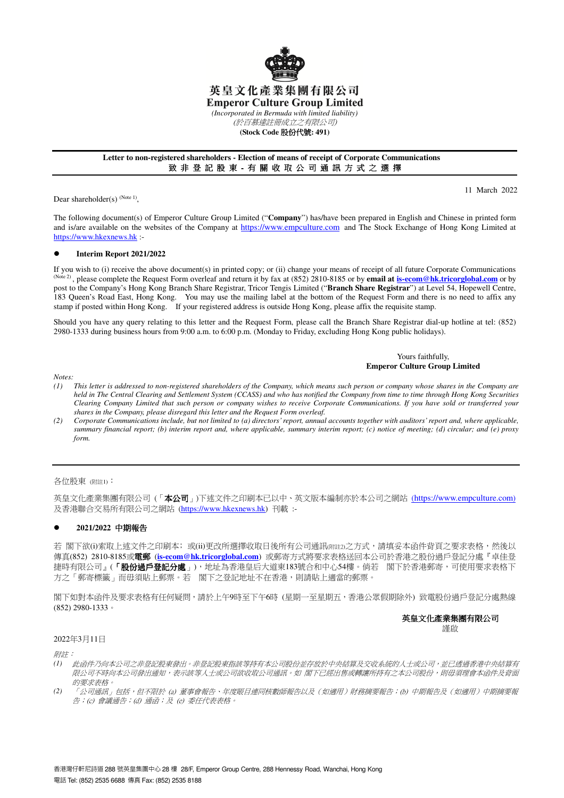

# 英皇文化產業集團有限公司

**Emperor Culture Group Limited** 

*(Incorporated in Bermuda with limited liability)*  (於百慕達註冊成立之有限公司)

**(Stock Code** 股份代號**: 491)** 

#### **Letter to non-registered shareholders - Election of means of receipt of Corporate Communications**  致 非 登 記 股 東 - 有 關 收 取 公 司 通 訊 方 式 之 選 擇

Dear shareholder(s)  $(N^{ote} 1)$ ,

11 March 2022

The following document(s) of Emperor Culture Group Limited ("**Company**") has/have been prepared in English and Chinese in printed form and is/are available on the websites of the Company at https://www.empculture.com and The Stock Exchange of Hong Kong Limited at https://www.hkexnews.hk :-

#### **Interim Report 2021/2022**

If you wish to (i) receive the above document(s) in printed copy; or (ii) change your means of receipt of all future Corporate Communications <sup>(Note 2)</sup>, please complete the Request Form overleaf and return it by fax at (852) 2810-8185 or by **email at is-ecom@hk.tricorglobal.com** or by post to the Company's Hong Kong Branch Share Registrar, Tricor Tengis Limited ("**Branch Share Registrar**") at Level 54, Hopewell Centre, 183 Queen's Road East, Hong Kong. You may use the mailing label at the bottom of the Request Form and there is no need to affix any stamp if posted within Hong Kong. If your registered address is outside Hong Kong, please affix the requisite stamp.

Should you have any query relating to this letter and the Request Form, please call the Branch Share Registrar dial-up hotline at tel: (852) 2980-1333 during business hours from 9:00 a.m. to 6:00 p.m. (Monday to Friday, excluding Hong Kong public holidays).

#### Yours faithfully, **Emperor Culture Group Limited**

*Notes:* 

- *(1) This letter is addressed to non-registered shareholders of the Company, which means such person or company whose shares in the Company are held in The Central Clearing and Settlement System (CCASS) and who has notified the Company from time to time through Hong Kong Securities Clearing Company Limited that such person or company wishes to receive Corporate Communications. If you have sold or transferred your shares in the Company, please disregard this letter and the Request Form overleaf.*
- *(2) Corporate Communications include, but not limited to (a) directors' report, annual accounts together with auditors' report and, where applicable, summary financial report; (b) interim report and, where applicable, summary interim report; (c) notice of meeting; (d) circular; and (e) proxy form.*

#### 各位股東 (附註1):

英皇文化產業集團有限公司 (「本公司」)下述文件之印刷本已以中、英文版本編制亦於本公司之網站 (https://www.empculture.com) 及香港聯合交易所有限公司之網站 (https://www.hkexnews.hk) 刊載 :-

## **2021/2022** 中期報告

若 閣下欲(i)索取上述文件之印刷本; 或(ii)更改所選擇收取日後所有公司通訊(附註2)之方式,請填妥本函件背頁之要求表格,然後以 傳真(852) 2810-8185或電郵 (**is-ecom@hk.tricorglobal.com**) 或郵寄方式將要求表格送回本公司於香港之股份過戶登記分處『卓佳登 捷時有限公司』(「**股份過戶登記分處**」),地址為香港皇后大道東183號合和中心54樓。倘若 閣下於香港郵寄,可使用要求表格下 方之「郵寄標籤」而毋須貼上郵票。若 閣下之登記地址不在香港,則請貼上適當的郵票。

閣下如對本函件及要求表格有任何疑問,請於上午9時至下午6時 (星期一至星期五,香港公眾假期除外) 致電股份過戶登記分處熱線 (852) 2980-1333。

## 英皇文化產業集團有限公司

謹啟

# 2022年3月11日

附註:

- *(1)* 此函件乃向本公司之非登記股東發出。非登記股東指該等持有本公司股份並存放於中央結算及交收系統的人士或公司,並已透過香港中央結算有 限公司不時向本公司發出通知,表示該等人士或公司欲收取公司通訊。如 閣下已經出售或轉讓所持有之本公司股份,則毋須理會本函件及背面 的要求表格。
- *(2)* 「公司通訊」包括,但不限於 (a) 董事會報告、年度賬目連同核數師報告以及(如適用)財務摘要報告;(b) 中期報告及(如適用)中期摘要報 告;(c) 會議通告;(d) 通函;及 (e) 委任代表表格。